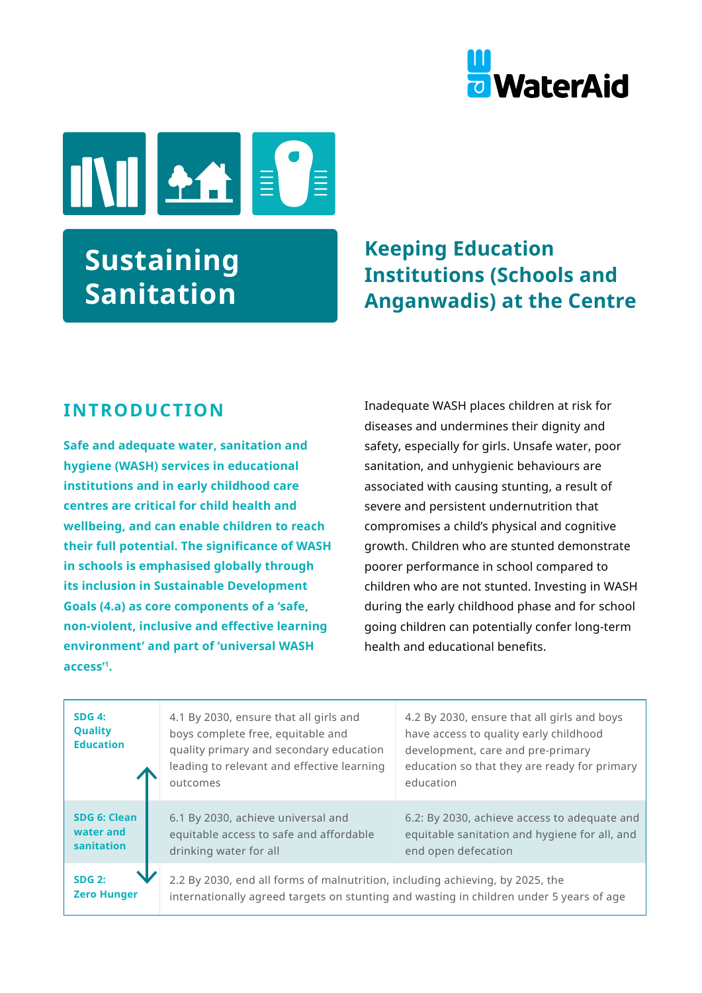



# **Sustaining Sanitation**

# **Keeping Education Institutions (Schools and Anganwadis) at the Centre**

#### **INTRODUCTION**

**Safe and adequate water, sanitation and hygiene (WASH) services in educational institutions and in early childhood care centres are critical for child health and wellbeing, and can enable children to reach their full potential. The significance of WASH in schools is emphasised globally through its inclusion in Sustainable Development Goals (4.a) as core components of a 'safe, non-violent, inclusive and effective learning environment' and part of 'universal WASH access'1.** 

Inadequate WASH places children at risk for diseases and undermines their dignity and safety, especially for girls. Unsafe water, poor sanitation, and unhygienic behaviours are associated with causing stunting, a result of severe and persistent undernutrition that compromises a child's physical and cognitive growth. Children who are stunted demonstrate poorer performance in school compared to children who are not stunted. Investing in WASH during the early childhood phase and for school going children can potentially confer long-term health and educational benefits.

| SDG 4:<br><b>Quality</b><br><b>Education</b> | 4.1 By 2030, ensure that all girls and<br>boys complete free, equitable and<br>quality primary and secondary education<br>leading to relevant and effective learning<br>outcomes | 4.2 By 2030, ensure that all girls and boys<br>have access to quality early childhood<br>development, care and pre-primary<br>education so that they are ready for primary<br>education |
|----------------------------------------------|----------------------------------------------------------------------------------------------------------------------------------------------------------------------------------|-----------------------------------------------------------------------------------------------------------------------------------------------------------------------------------------|
| SDG 6: Clean<br>water and<br>sanitation      | 6.1 By 2030, achieve universal and<br>equitable access to safe and affordable<br>drinking water for all                                                                          | 6.2: By 2030, achieve access to adequate and<br>equitable sanitation and hygiene for all, and<br>end open defecation                                                                    |
| <b>SDG 2:</b><br><b>Zero Hunger</b>          | 2.2 By 2030, end all forms of malnutrition, including achieving, by 2025, the                                                                                                    | internationally agreed targets on stunting and wasting in children under 5 years of age                                                                                                 |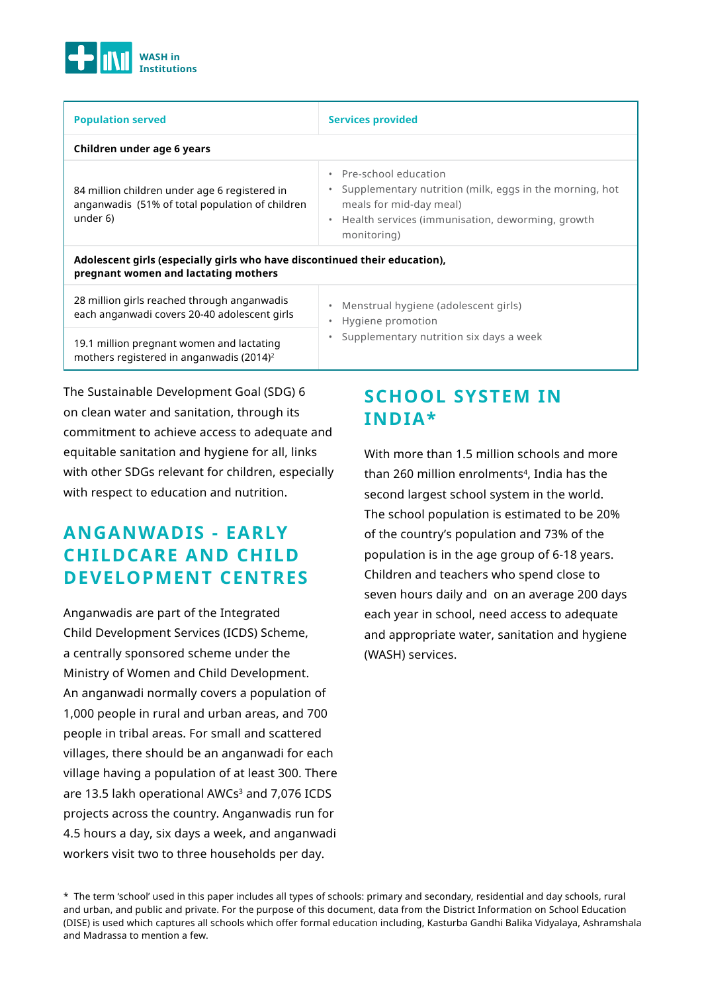

| <b>Population served</b>                                                                                           | <b>Services provided</b>                                                                                                                                                                                             |  |  |  |
|--------------------------------------------------------------------------------------------------------------------|----------------------------------------------------------------------------------------------------------------------------------------------------------------------------------------------------------------------|--|--|--|
| Children under age 6 years                                                                                         |                                                                                                                                                                                                                      |  |  |  |
| 84 million children under age 6 registered in<br>anganwadis (51% of total population of children<br>under 6)       | Pre-school education<br>$\bullet$<br>Supplementary nutrition (milk, eggs in the morning, hot<br>$\bullet$<br>meals for mid-day meal)<br>Health services (immunisation, deworming, growth<br>$\bullet$<br>monitoring) |  |  |  |
| Adolescent girls (especially girls who have discontinued their education),<br>pregnant women and lactating mothers |                                                                                                                                                                                                                      |  |  |  |
| 28 million girls reached through anganwadis<br>each anganwadi covers 20-40 adolescent girls                        | Menstrual hygiene (adolescent girls)<br>$\bullet$<br>Hygiene promotion<br>$\bullet$                                                                                                                                  |  |  |  |
| 19.1 million pregnant women and lactating<br>mothers registered in anganwadis (2014) <sup>2</sup>                  | Supplementary nutrition six days a week<br>$\bullet$                                                                                                                                                                 |  |  |  |

The Sustainable Development Goal (SDG) 6 on clean water and sanitation, through its commitment to achieve access to adequate and equitable sanitation and hygiene for all, links with other SDGs relevant for children, especially with respect to education and nutrition.

#### **ANGANWADIS - EARLY CHILDCARE AND CHILD DEVELOPMENT CENTRES**

Anganwadis are part of the Integrated Child Development Services (ICDS) Scheme, a centrally sponsored scheme under the Ministry of Women and Child Development. An anganwadi normally covers a population of 1,000 people in rural and urban areas, and 700 people in tribal areas. For small and scattered villages, there should be an anganwadi for each village having a population of at least 300. There are 13.5 lakh operational AWCs<sup>3</sup> and 7,076 ICDS projects across the country. Anganwadis run for 4.5 hours a day, six days a week, and anganwadi workers visit two to three households per day.

# **SCHOOL SYSTEM IN INDIA\***

With more than 1.5 million schools and more than 260 million enrolments<sup>4</sup>, India has the second largest school system in the world. The school population is estimated to be 20% of the country's population and 73% of the population is in the age group of 6-18 years. Children and teachers who spend close to seven hours daily and on an average 200 days each year in school, need access to adequate and appropriate water, sanitation and hygiene (WASH) services.

<sup>\*</sup> The term 'school' used in this paper includes all types of schools: primary and secondary, residential and day schools, rural and urban, and public and private. For the purpose of this document, data from the District Information on School Education (DISE) is used which captures all schools which offer formal education including, Kasturba Gandhi Balika Vidyalaya, Ashramshala and Madrassa to mention a few.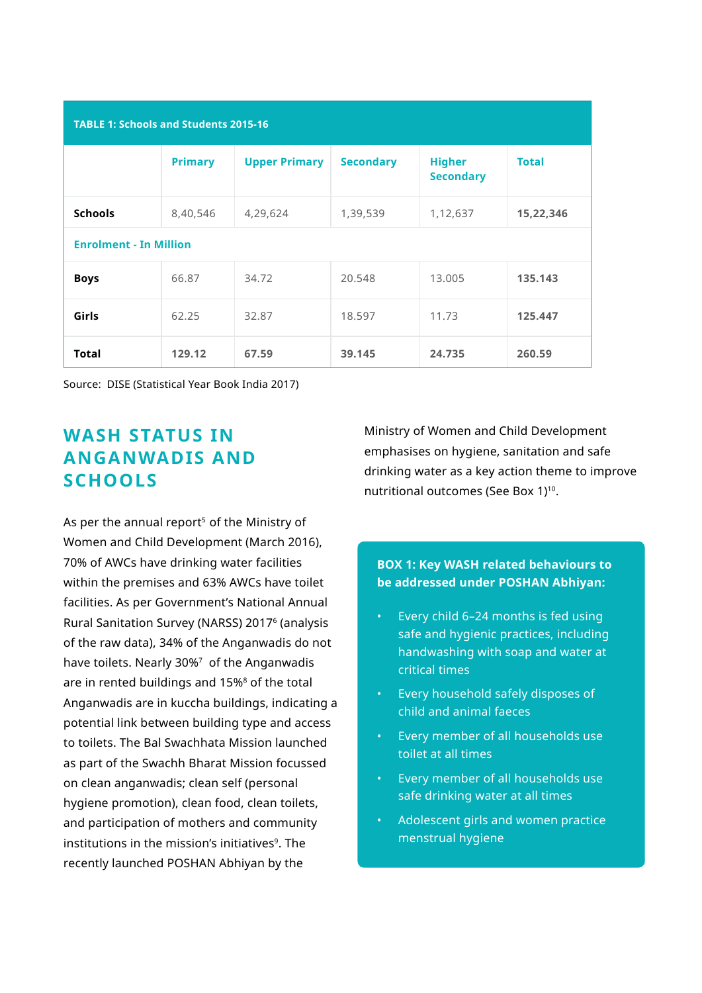| <b>TABLE 1: Schools and Students 2015-16</b> |                |                      |                  |                                   |              |
|----------------------------------------------|----------------|----------------------|------------------|-----------------------------------|--------------|
|                                              | <b>Primary</b> | <b>Upper Primary</b> | <b>Secondary</b> | <b>Higher</b><br><b>Secondary</b> | <b>Total</b> |
| <b>Schools</b>                               | 8,40,546       | 4,29,624             | 1,39,539         | 1,12,637                          | 15,22,346    |
| <b>Enrolment - In Million</b>                |                |                      |                  |                                   |              |
| <b>Boys</b>                                  | 66.87          | 34.72                | 20.548           | 13.005                            | 135.143      |
| Girls                                        | 62.25          | 32.87                | 18.597           | 11.73                             | 125.447      |
| Total                                        | 129.12         | 67.59                | 39.145           | 24.735                            | 260.59       |

Source: DISE (Statistical Year Book India 2017)

#### **WASH STATUS IN ANGANWADIS AND SCHOOLS**

As per the annual report<sup>5</sup> of the Ministry of Women and Child Development (March 2016), 70% of AWCs have drinking water facilities within the premises and 63% AWCs have toilet facilities. As per Government's National Annual Rural Sanitation Survey (NARSS) 20176 (analysis of the raw data), 34% of the Anganwadis do not have toilets. Nearly 30%<sup>7</sup> of the Anganwadis are in rented buildings and 15%<sup>8</sup> of the total Anganwadis are in kuccha buildings, indicating a potential link between building type and access to toilets. The Bal Swachhata Mission launched as part of the Swachh Bharat Mission focussed on clean anganwadis; clean self (personal hygiene promotion), clean food, clean toilets, and participation of mothers and community institutions in the mission's initiatives<sup>9</sup>. The recently launched POSHAN Abhiyan by the

Ministry of Women and Child Development emphasises on hygiene, sanitation and safe drinking water as a key action theme to improve nutritional outcomes (See Box 1)<sup>10</sup>.

#### **BOX 1: Key WASH related behaviours to be addressed under POSHAN Abhiyan:**

- Every child 6–24 months is fed using safe and hygienic practices, including handwashing with soap and water at critical times
- Every household safely disposes of child and animal faeces
- Every member of all households use toilet at all times
- Every member of all households use safe drinking water at all times
- Adolescent girls and women practice menstrual hygiene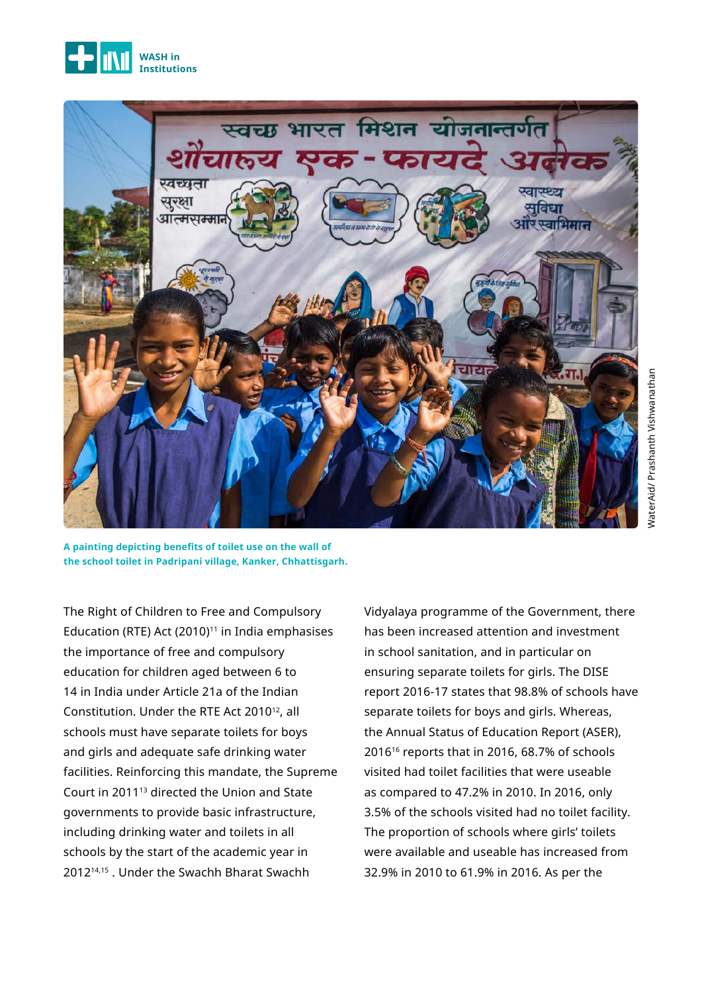



**A painting depicting benefits of toilet use on the wall of the school toilet in Padripani village, Kanker, Chhattisgarh.** 

The Right of Children to Free and Compulsory Education (RTE) Act (2010) $11$  in India emphasises the importance of free and compulsory education for children aged between 6 to 14 in India under Article 21a of the Indian Constitution. Under the RTE Act 2010<sup>12</sup>, all schools must have separate toilets for boys and girls and adequate safe drinking water facilities. Reinforcing this mandate, the Supreme Court in 201113 directed the Union and State governments to provide basic infrastructure, including drinking water and toilets in all schools by the start of the academic year in 201214,15 . Under the Swachh Bharat Swachh

Vidyalaya programme of the Government, there has been increased attention and investment in school sanitation, and in particular on ensuring separate toilets for girls. The DISE report 2016-17 states that 98.8% of schools have separate toilets for boys and girls. Whereas, the Annual Status of Education Report (ASER), 201616 reports that in 2016, 68.7% of schools visited had toilet facilities that were useable as compared to 47.2% in 2010. In 2016, only 3.5% of the schools visited had no toilet facility. The proportion of schools where girls' toilets were available and useable has increased from 32.9% in 2010 to 61.9% in 2016. As per the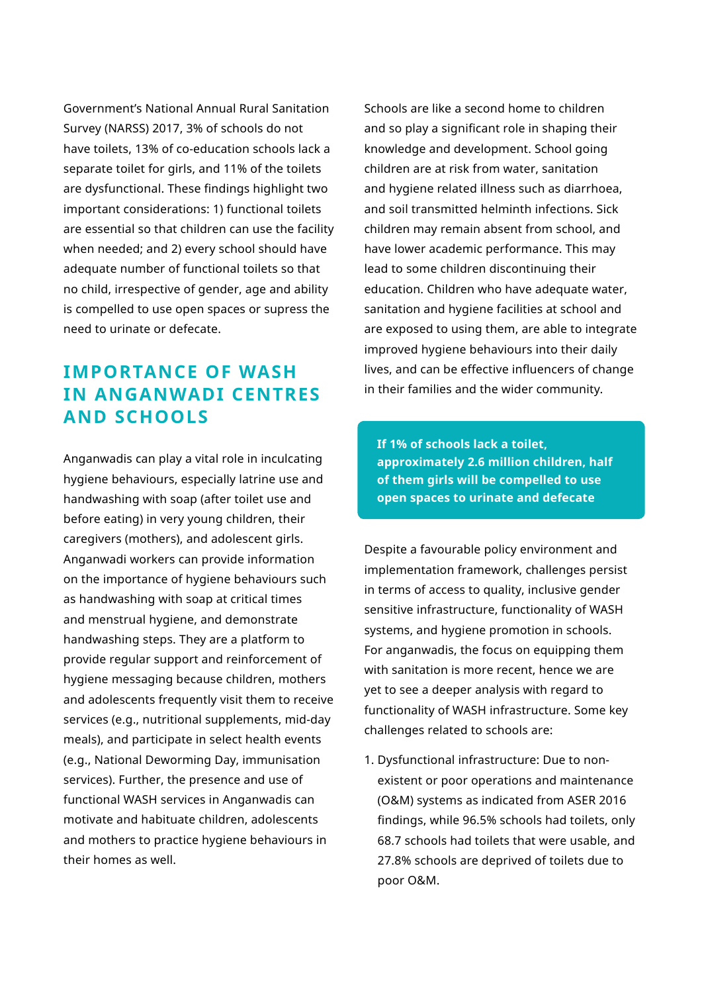Government's National Annual Rural Sanitation Survey (NARSS) 2017, 3% of schools do not have toilets, 13% of co-education schools lack a separate toilet for girls, and 11% of the toilets are dysfunctional. These findings highlight two important considerations: 1) functional toilets are essential so that children can use the facility when needed; and 2) every school should have adequate number of functional toilets so that no child, irrespective of gender, age and ability is compelled to use open spaces or supress the need to urinate or defecate.

#### **IMPORTANCE OF WASH IN ANGANWADI CENTRES AND SCHOOLS**

Anganwadis can play a vital role in inculcating hygiene behaviours, especially latrine use and handwashing with soap (after toilet use and before eating) in very young children, their caregivers (mothers), and adolescent girls. Anganwadi workers can provide information on the importance of hygiene behaviours such as handwashing with soap at critical times and menstrual hygiene, and demonstrate handwashing steps. They are a platform to provide regular support and reinforcement of hygiene messaging because children, mothers and adolescents frequently visit them to receive services (e.g., nutritional supplements, mid-day meals), and participate in select health events (e.g., National Deworming Day, immunisation services). Further, the presence and use of functional WASH services in Anganwadis can motivate and habituate children, adolescents and mothers to practice hygiene behaviours in their homes as well.

Schools are like a second home to children and so play a significant role in shaping their knowledge and development. School going children are at risk from water, sanitation and hygiene related illness such as diarrhoea, and soil transmitted helminth infections. Sick children may remain absent from school, and have lower academic performance. This may lead to some children discontinuing their education. Children who have adequate water, sanitation and hygiene facilities at school and are exposed to using them, are able to integrate improved hygiene behaviours into their daily lives, and can be effective influencers of change in their families and the wider community.

**If 1% of schools lack a toilet, approximately 2.6 million children, half of them girls will be compelled to use open spaces to urinate and defecate**

Despite a favourable policy environment and implementation framework, challenges persist in terms of access to quality, inclusive gender sensitive infrastructure, functionality of WASH systems, and hygiene promotion in schools. For anganwadis, the focus on equipping them with sanitation is more recent, hence we are yet to see a deeper analysis with regard to functionality of WASH infrastructure. Some key challenges related to schools are:

1. Dysfunctional infrastructure: Due to nonexistent or poor operations and maintenance (O&M) systems as indicated from ASER 2016 findings, while 96.5% schools had toilets, only 68.7 schools had toilets that were usable, and 27.8% schools are deprived of toilets due to poor O&M.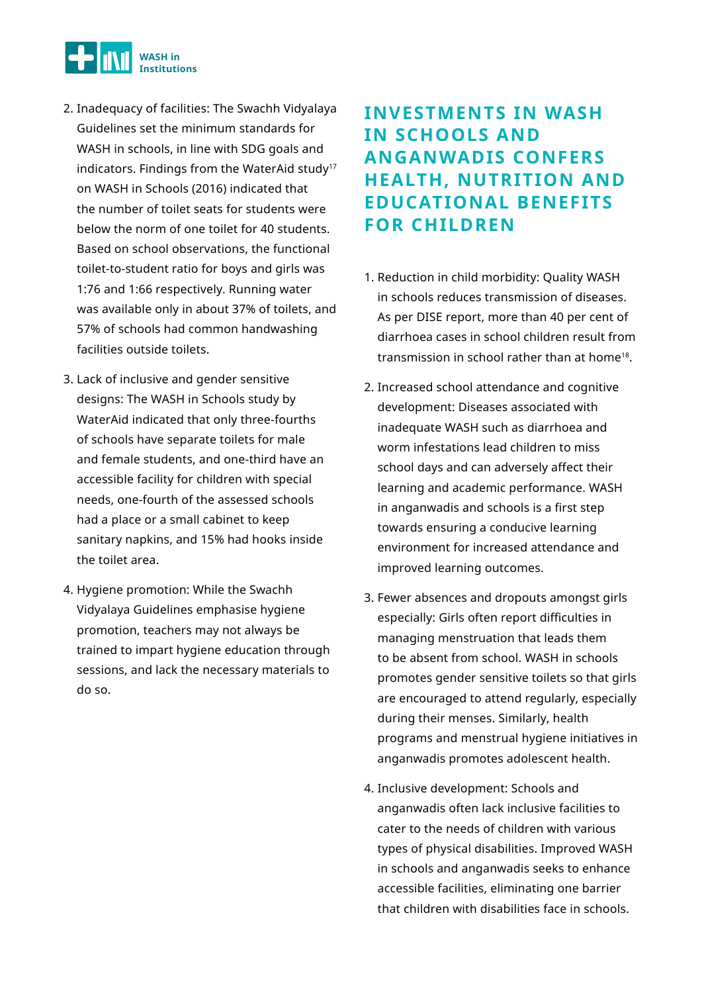

- 2. Inadequacy of facilities: The Swachh Vidyalaya Guidelines set the minimum standards for WASH in schools, in line with SDG goals and indicators. Findings from the WaterAid study<sup>17</sup> on WASH in Schools (2016) indicated that the number of toilet seats for students were below the norm of one toilet for 40 students. Based on school observations, the functional toilet-to-student ratio for boys and girls was 1:76 and 1:66 respectively. Running water was available only in about 37% of toilets, and 57% of schools had common handwashing facilities outside toilets.
- 3. Lack of inclusive and gender sensitive designs: The WASH in Schools study by WaterAid indicated that only three-fourths of schools have separate toilets for male and female students, and one-third have an accessible facility for children with special needs, one-fourth of the assessed schools had a place or a small cabinet to keep sanitary napkins, and 15% had hooks inside the toilet area.
- 4. Hygiene promotion: While the Swachh Vidyalaya Guidelines emphasise hygiene promotion, teachers may not always be trained to impart hygiene education through sessions, and lack the necessary materials to do so.

## **INVESTMENTS IN WASH IN SCHOOLS AND ANGANWADIS CONFERS HEALTH, NUTRITION AND EDUCATIONAL BENEFITS FOR CHILDREN**

- 1. Reduction in child morbidity: Quality WASH in schools reduces transmission of diseases. As per DISE report, more than 40 per cent of diarrhoea cases in school children result from transmission in school rather than at home18.
- 2. Increased school attendance and cognitive development: Diseases associated with inadequate WASH such as diarrhoea and worm infestations lead children to miss school days and can adversely affect their learning and academic performance. WASH in anganwadis and schools is a first step towards ensuring a conducive learning environment for increased attendance and improved learning outcomes.
- 3. Fewer absences and dropouts amongst girls especially: Girls often report difficulties in managing menstruation that leads them to be absent from school. WASH in schools promotes gender sensitive toilets so that girls are encouraged to attend regularly, especially during their menses. Similarly, health programs and menstrual hygiene initiatives in anganwadis promotes adolescent health.
- 4. Inclusive development: Schools and anganwadis often lack inclusive facilities to cater to the needs of children with various types of physical disabilities. Improved WASH in schools and anganwadis seeks to enhance accessible facilities, eliminating one barrier that children with disabilities face in schools.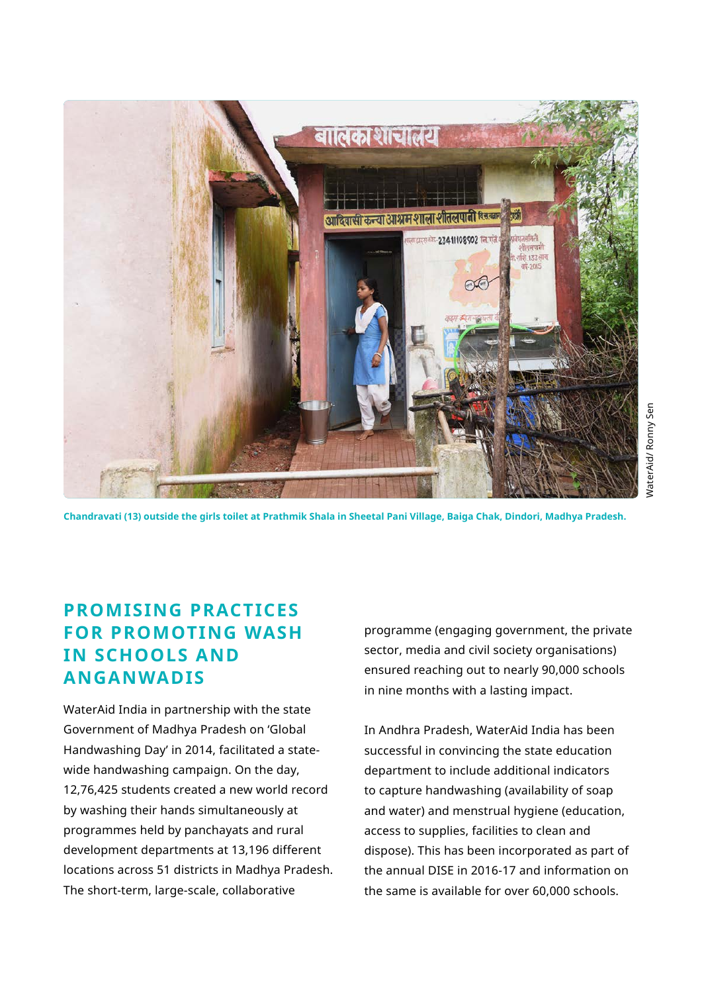

**Chandravati (13) outside the girls toilet at Prathmik Shala in Sheetal Pani Village, Baiga Chak, Dindori, Madhya Pradesh.**

# VaterAid/Ronny Sen WaterAid/ Ronny Sen

#### **PROMISING PRACTICES FOR PROMOTING WASH IN SCHOOLS AND ANGANWADIS**

WaterAid India in partnership with the state Government of Madhya Pradesh on 'Global Handwashing Day' in 2014, facilitated a statewide handwashing campaign. On the day, 12,76,425 students created a new world record by washing their hands simultaneously at programmes held by panchayats and rural development departments at 13,196 different locations across 51 districts in Madhya Pradesh. The short-term, large-scale, collaborative

programme (engaging government, the private sector, media and civil society organisations) ensured reaching out to nearly 90,000 schools in nine months with a lasting impact.

In Andhra Pradesh, WaterAid India has been successful in convincing the state education department to include additional indicators to capture handwashing (availability of soap and water) and menstrual hygiene (education, access to supplies, facilities to clean and dispose). This has been incorporated as part of the annual DISE in 2016-17 and information on the same is available for over 60,000 schools.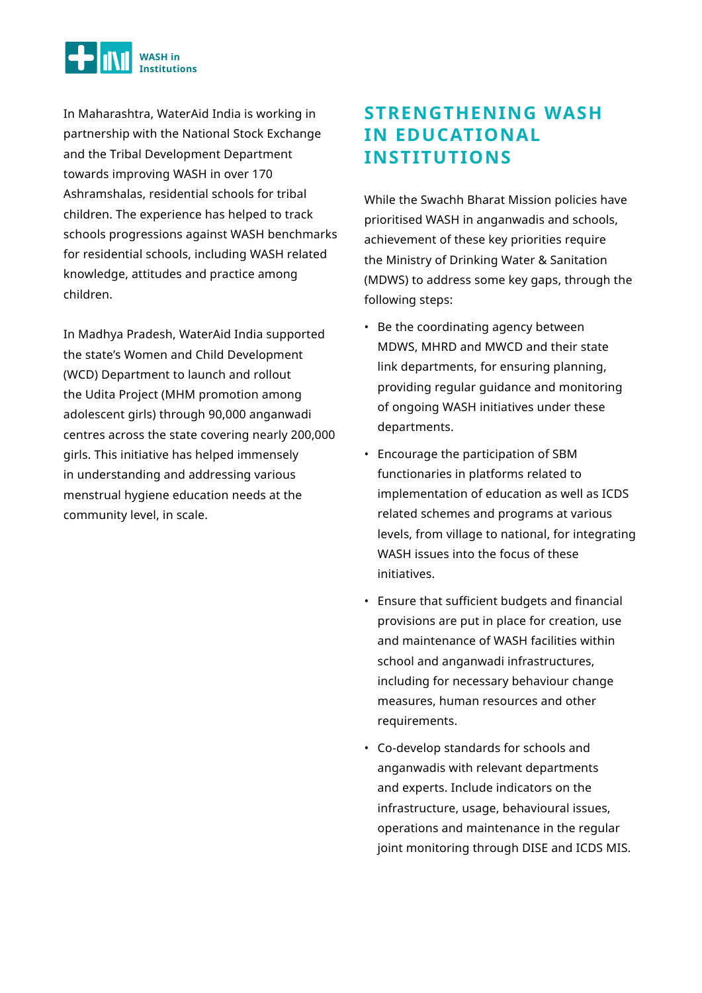

In Maharashtra, WaterAid India is working in partnership with the National Stock Exchange and the Tribal Development Department towards improving WASH in over 170 Ashramshalas, residential schools for tribal children. The experience has helped to track schools progressions against WASH benchmarks for residential schools, including WASH related knowledge, attitudes and practice among children.

In Madhya Pradesh, WaterAid India supported the state's Women and Child Development (WCD) Department to launch and rollout the Udita Project (MHM promotion among adolescent girls) through 90,000 anganwadi centres across the state covering nearly 200,000 girls. This initiative has helped immensely in understanding and addressing various menstrual hygiene education needs at the community level, in scale.

## **STRENGTHENING WASH IN EDUCATIONAL INSTITUTIONS**

While the Swachh Bharat Mission policies have prioritised WASH in anganwadis and schools, achievement of these key priorities require the Ministry of Drinking Water & Sanitation (MDWS) to address some key gaps, through the following steps:

- Be the coordinating agency between MDWS, MHRD and MWCD and their state link departments, for ensuring planning, providing regular guidance and monitoring of ongoing WASH initiatives under these departments.
- Encourage the participation of SBM functionaries in platforms related to implementation of education as well as ICDS related schemes and programs at various levels, from village to national, for integrating WASH issues into the focus of these initiatives.
- Ensure that sufficient budgets and financial provisions are put in place for creation, use and maintenance of WASH facilities within school and anganwadi infrastructures, including for necessary behaviour change measures, human resources and other requirements.
- Co-develop standards for schools and anganwadis with relevant departments and experts. Include indicators on the infrastructure, usage, behavioural issues, operations and maintenance in the regular joint monitoring through DISE and ICDS MIS.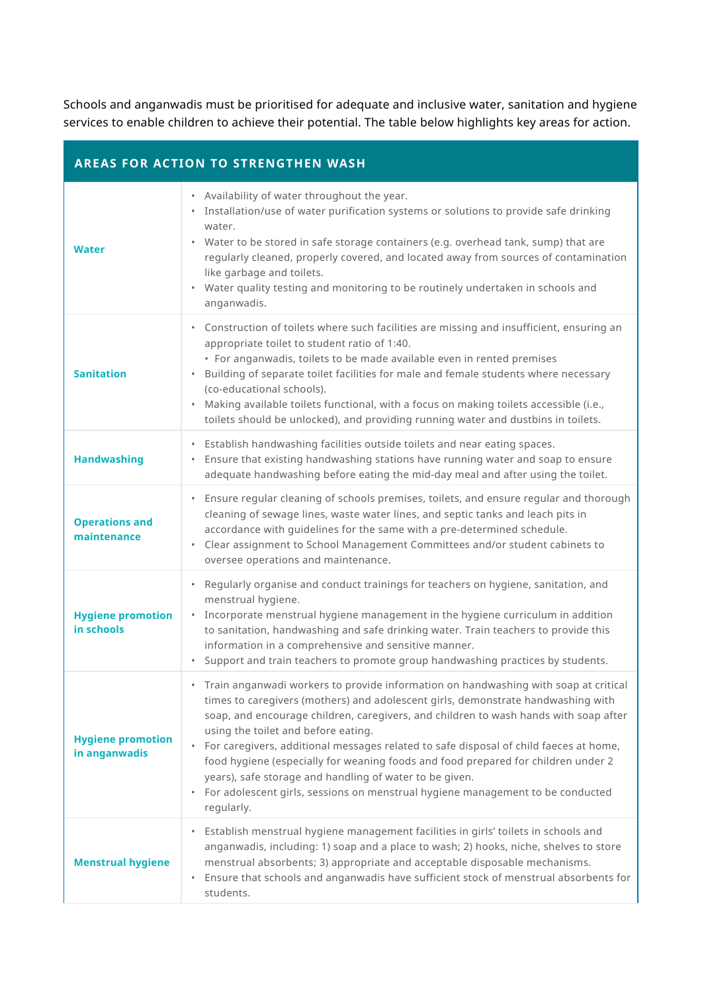Schools and anganwadis must be prioritised for adequate and inclusive water, sanitation and hygiene services to enable children to achieve their potential. The table below highlights key areas for action.

| <b>AREAS FOR ACTION TO STRENGTHEN WASH</b> |                                                                                                                                                                                                                                                                                                                                                                                                                                                                                                                                                                                                                                                                           |  |
|--------------------------------------------|---------------------------------------------------------------------------------------------------------------------------------------------------------------------------------------------------------------------------------------------------------------------------------------------------------------------------------------------------------------------------------------------------------------------------------------------------------------------------------------------------------------------------------------------------------------------------------------------------------------------------------------------------------------------------|--|
| <b>Water</b>                               | • Availability of water throughout the year.<br>• Installation/use of water purification systems or solutions to provide safe drinking<br>water.<br>Water to be stored in safe storage containers (e.g. overhead tank, sump) that are<br>regularly cleaned, properly covered, and located away from sources of contamination<br>like garbage and toilets.<br>• Water quality testing and monitoring to be routinely undertaken in schools and<br>anganwadis.                                                                                                                                                                                                              |  |
| <b>Sanitation</b>                          | Construction of toilets where such facilities are missing and insufficient, ensuring an<br>appropriate toilet to student ratio of 1:40.<br>• For anganwadis, toilets to be made available even in rented premises<br>Building of separate toilet facilities for male and female students where necessary<br>$\bullet$<br>(co-educational schools).<br>Making available toilets functional, with a focus on making toilets accessible (i.e.,<br>toilets should be unlocked), and providing running water and dustbins in toilets.                                                                                                                                          |  |
| <b>Handwashing</b>                         | Establish handwashing facilities outside toilets and near eating spaces.<br>• Ensure that existing handwashing stations have running water and soap to ensure<br>adequate handwashing before eating the mid-day meal and after using the toilet.                                                                                                                                                                                                                                                                                                                                                                                                                          |  |
| <b>Operations and</b><br>maintenance       | • Ensure regular cleaning of schools premises, toilets, and ensure regular and thorough<br>cleaning of sewage lines, waste water lines, and septic tanks and leach pits in<br>accordance with guidelines for the same with a pre-determined schedule.<br>• Clear assignment to School Management Committees and/or student cabinets to<br>oversee operations and maintenance.                                                                                                                                                                                                                                                                                             |  |
| <b>Hygiene promotion</b><br>in schools     | Regularly organise and conduct trainings for teachers on hygiene, sanitation, and<br>$\bullet$<br>menstrual hygiene.<br>• Incorporate menstrual hygiene management in the hygiene curriculum in addition<br>to sanitation, handwashing and safe drinking water. Train teachers to provide this<br>information in a comprehensive and sensitive manner.<br>Support and train teachers to promote group handwashing practices by students.                                                                                                                                                                                                                                  |  |
| <b>Hygiene promotion</b><br>in anganwadis  | Train anganwadi workers to provide information on handwashing with soap at critical<br>times to caregivers (mothers) and adolescent girls, demonstrate handwashing with<br>soap, and encourage children, caregivers, and children to wash hands with soap after<br>using the toilet and before eating.<br>For caregivers, additional messages related to safe disposal of child faeces at home,<br>$\bullet$<br>food hygiene (especially for weaning foods and food prepared for children under 2<br>years), safe storage and handling of water to be given.<br>For adolescent girls, sessions on menstrual hygiene management to be conducted<br>$\bullet$<br>regularly. |  |
| <b>Menstrual hygiene</b>                   | Establish menstrual hygiene management facilities in girls' toilets in schools and<br>$\bullet$<br>anganwadis, including: 1) soap and a place to wash; 2) hooks, niche, shelves to store<br>menstrual absorbents; 3) appropriate and acceptable disposable mechanisms.<br>Ensure that schools and anganwadis have sufficient stock of menstrual absorbents for<br>$\bullet$<br>students.                                                                                                                                                                                                                                                                                  |  |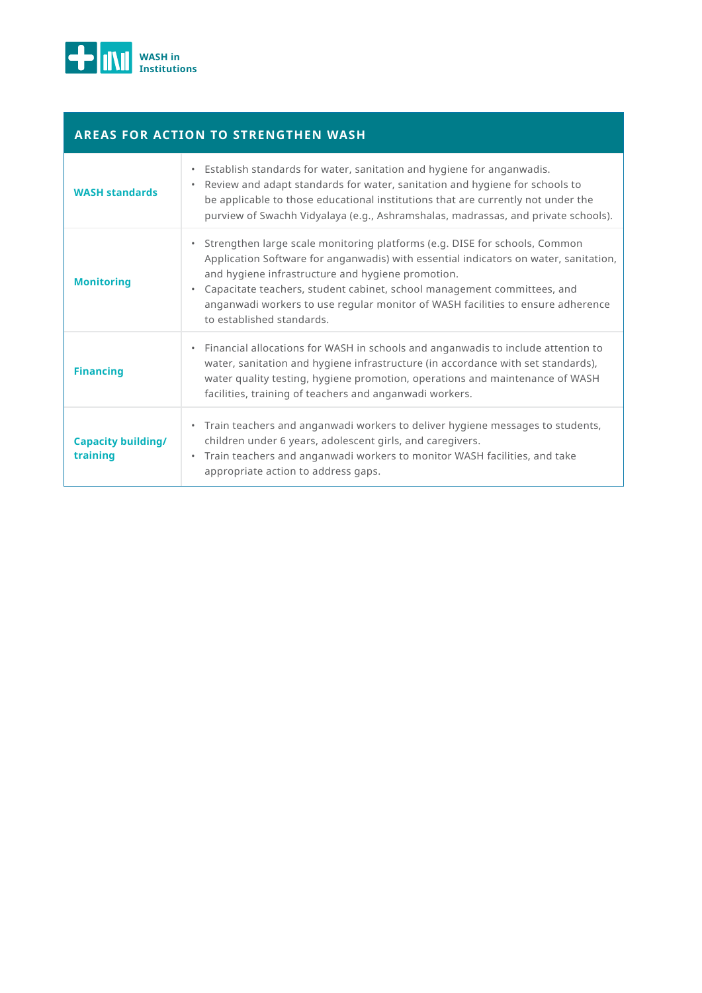

#### **AREAS FOR ACTION TO STRENGTHEN WASH**

| <b>WASH standards</b>                 | Establish standards for water, sanitation and hygiene for anganwadis.<br>Review and adapt standards for water, sanitation and hygiene for schools to<br>$\bullet$<br>be applicable to those educational institutions that are currently not under the<br>purview of Swachh Vidyalaya (e.g., Ashramshalas, madrassas, and private schools).                                                                         |
|---------------------------------------|--------------------------------------------------------------------------------------------------------------------------------------------------------------------------------------------------------------------------------------------------------------------------------------------------------------------------------------------------------------------------------------------------------------------|
| <b>Monitoring</b>                     | Strengthen large scale monitoring platforms (e.g. DISE for schools, Common<br>Application Software for anganwadis) with essential indicators on water, sanitation,<br>and hygiene infrastructure and hygiene promotion.<br>Capacitate teachers, student cabinet, school management committees, and<br>anganwadi workers to use regular monitor of WASH facilities to ensure adherence<br>to established standards. |
| <b>Financing</b>                      | Financial allocations for WASH in schools and anganwadis to include attention to<br>water, sanitation and hygiene infrastructure (in accordance with set standards),<br>water quality testing, hygiene promotion, operations and maintenance of WASH<br>facilities, training of teachers and anganwadi workers.                                                                                                    |
| <b>Capacity building/</b><br>training | Train teachers and anganwadi workers to deliver hygiene messages to students,<br>children under 6 years, adolescent girls, and caregivers.<br>Train teachers and anganwadi workers to monitor WASH facilities, and take<br>appropriate action to address gaps.                                                                                                                                                     |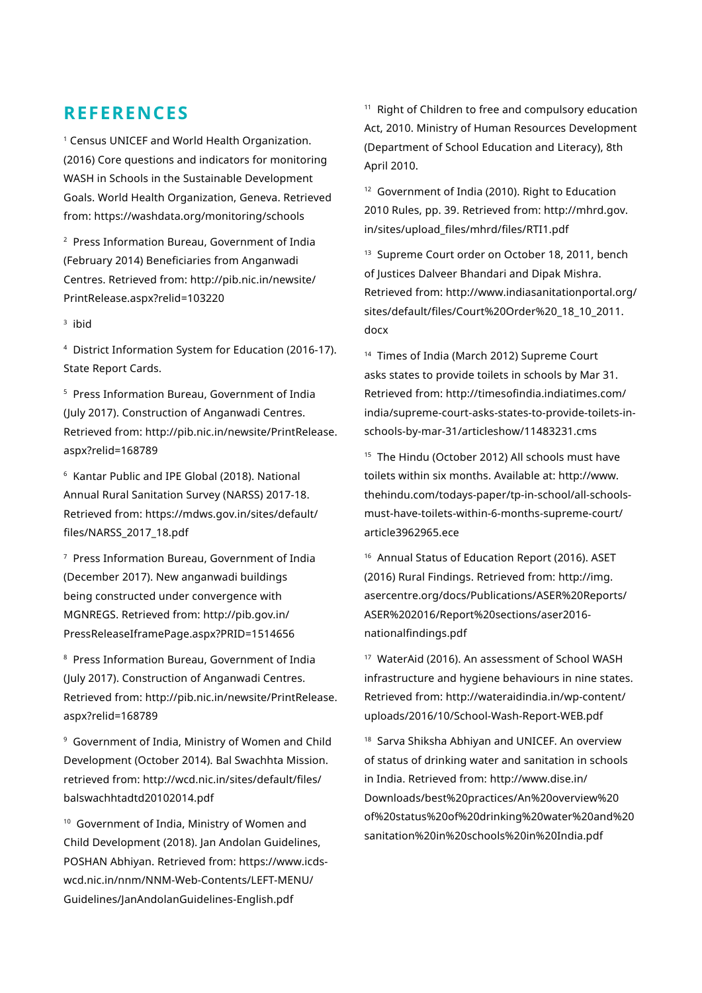#### **REFERENCES**

1 Census UNICEF and World Health Organization. (2016) Core questions and indicators for monitoring WASH in Schools in the Sustainable Development Goals. World Health Organization, Geneva. Retrieved from: https://washdata.org/monitoring/schools

2 Press Information Bureau, Government of India (February 2014) Beneficiaries from Anganwadi Centres. Retrieved from: http://pib.nic.in/newsite/ PrintRelease.aspx?relid=103220

3 ibid

4 District Information System for Education (2016-17). State Report Cards.

5 Press Information Bureau, Government of India (July 2017). Construction of Anganwadi Centres. Retrieved from: http://pib.nic.in/newsite/PrintRelease. aspx?relid=168789

6 Kantar Public and IPE Global (2018). National Annual Rural Sanitation Survey (NARSS) 2017-18. Retrieved from: https://mdws.gov.in/sites/default/ files/NARSS\_2017\_18.pdf

7 Press Information Bureau, Government of India (December 2017). New anganwadi buildings being constructed under convergence with MGNREGS. Retrieved from: http://pib.gov.in/ PressReleaseIframePage.aspx?PRID=1514656

8 Press Information Bureau, Government of India (July 2017). Construction of Anganwadi Centres. Retrieved from: http://pib.nic.in/newsite/PrintRelease. aspx?relid=168789

9 Government of India, Ministry of Women and Child Development (October 2014). Bal Swachhta Mission. retrieved from: http://wcd.nic.in/sites/default/files/ balswachhtadtd20102014.pdf

<sup>10</sup> Government of India, Ministry of Women and Child Development (2018). Jan Andolan Guidelines, POSHAN Abhiyan. Retrieved from: https://www.icdswcd.nic.in/nnm/NNM-Web-Contents/LEFT-MENU/ Guidelines/JanAndolanGuidelines-English.pdf

<sup>11</sup> Right of Children to free and compulsory education Act, 2010. Ministry of Human Resources Development (Department of School Education and Literacy), 8th April 2010.

<sup>12</sup> Government of India (2010). Right to Education 2010 Rules, pp. 39. Retrieved from: http://mhrd.gov. in/sites/upload\_files/mhrd/files/RTI1.pdf

<sup>13</sup> Supreme Court order on October 18, 2011, bench of Justices Dalveer Bhandari and Dipak Mishra. Retrieved from: http://www.indiasanitationportal.org/ sites/default/files/Court%20Order%20\_18\_10\_2011. docx

<sup>14</sup> Times of India (March 2012) Supreme Court asks states to provide toilets in schools by Mar 31. Retrieved from: http://timesofindia.indiatimes.com/ india/supreme-court-asks-states-to-provide-toilets-inschools-by-mar-31/articleshow/11483231.cms

<sup>15</sup> The Hindu (October 2012) All schools must have toilets within six months. Available at: http://www. thehindu.com/todays-paper/tp-in-school/all-schoolsmust-have-toilets-within-6-months-supreme-court/ article3962965.ece

<sup>16</sup> Annual Status of Education Report (2016). ASET (2016) Rural Findings. Retrieved from: http://img. asercentre.org/docs/Publications/ASER%20Reports/ ASER%202016/Report%20sections/aser2016 nationalfindings.pdf

<sup>17</sup> WaterAid (2016). An assessment of School WASH infrastructure and hygiene behaviours in nine states. Retrieved from: http://wateraidindia.in/wp-content/ uploads/2016/10/School-Wash-Report-WEB.pdf

<sup>18</sup> Sarva Shiksha Abhiyan and UNICEF. An overview of status of drinking water and sanitation in schools in India. Retrieved from: http://www.dise.in/ Downloads/best%20practices/An%20overview%20 of%20status%20of%20drinking%20water%20and%20 sanitation%20in%20schools%20in%20India.pdf